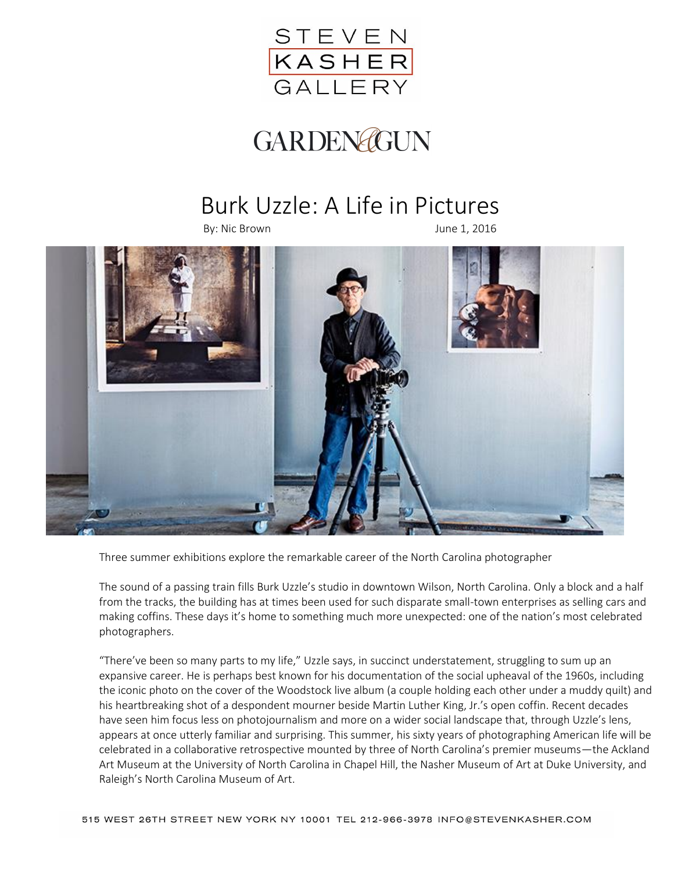

## GARDENGGUN

## Burk Uzzle: A Life in Pictures

By: Nic Brown June 1, 2016



Three summer exhibitions explore the remarkable career of the North Carolina photographer

The sound of a passing train fills Burk Uzzle's studio in downtown Wilson, North Carolina. Only a block and a half from the tracks, the building has at times been used for such disparate small-town enterprises as selling cars and making coffins. These days it's home to something much more unexpected: one of the nation's most celebrated photographers.

"There've been so many parts to my life," Uzzle says, in succinct understatement, struggling to sum up an expansive career. He is perhaps best known for his documentation of the social upheaval of the 1960s, including the iconic photo on the cover of the Woodstock live album (a couple holding each other under a muddy quilt) and his heartbreaking shot of a despondent mourner beside Martin Luther King, Jr.'s open coffin. Recent decades have seen him focus less on photojournalism and more on a wider social landscape that, through Uzzle's lens, appears at once utterly familiar and surprising. This summer, his sixty years of photographing American life will be celebrated in a collaborative retrospective mounted by three of North Carolina's premier museums—the Ackland Art Museum at the University of North Carolina in Chapel Hill, the Nasher Museum of Art at Duke University, and Raleigh's North Carolina Museum of Art.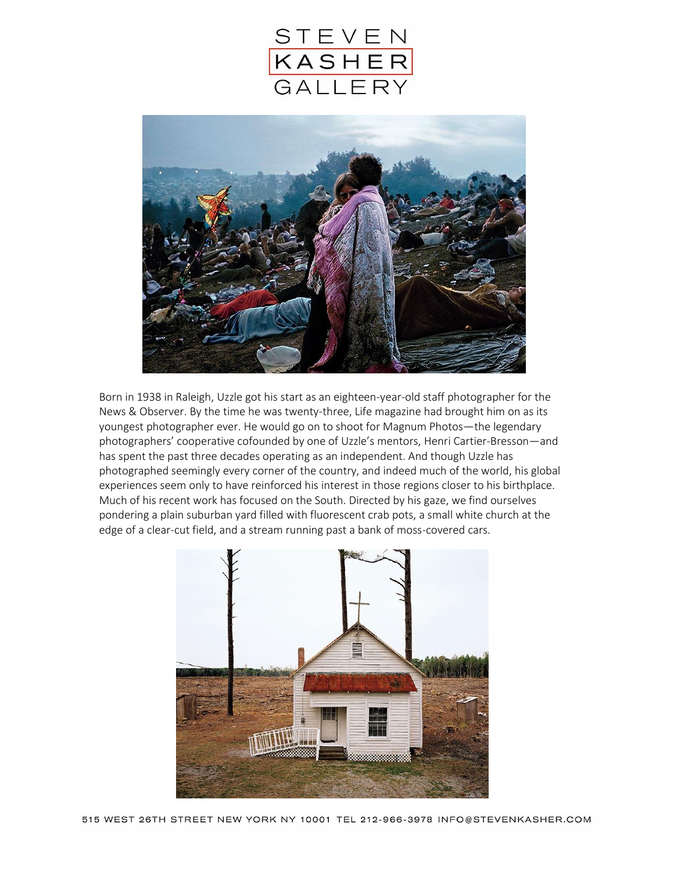



Born in 1938 in Raleigh, Uzzle got his start as an eighteen-year-old staff photographer for the News & Observer. By the time he was twenty-three, Life magazine had brought him on as its youngest photographer ever. He would go on to shoot for Magnum Photos—the legendary photographers' cooperative cofounded by one of Uzzle's mentors, Henri Cartier-Bresson—and has spent the past three decades operating as an independent. And though Uzzle has photographed seemingly every corner of the country, and indeed much of the world, his global experiences seem only to have reinforced his interest in those regions closer to his birthplace. Much of his recent work has focused on the South. Directed by his gaze, we find ourselves pondering a plain suburban yard filled with fluorescent crab pots, a small white church at the edge of a clear-cut field, and a stream running past a bank of moss-covered cars.

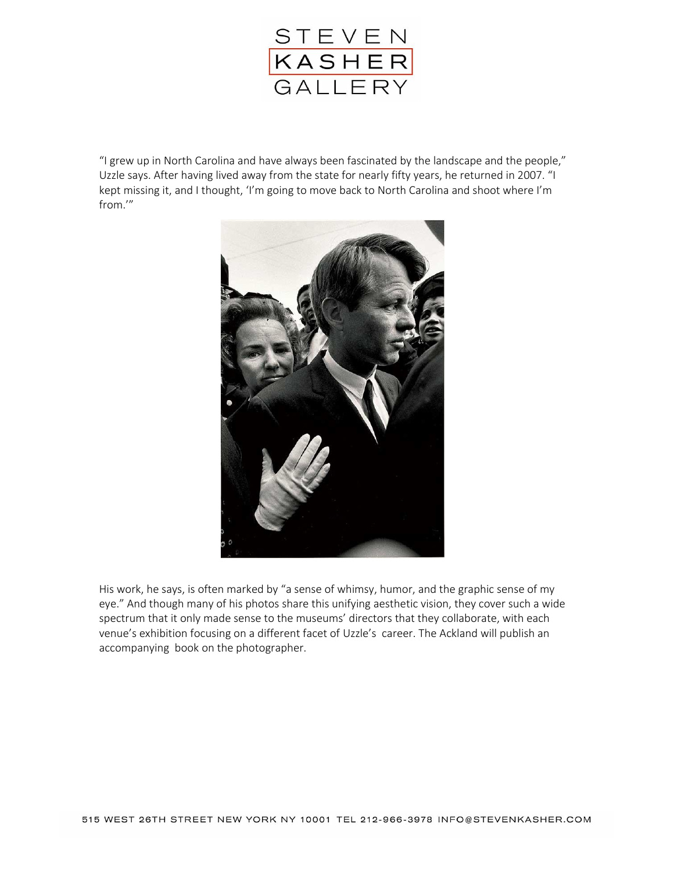

"I grew up in North Carolina and have always been fascinated by the landscape and the people," Uzzle says. After having lived away from the state for nearly fifty years, he returned in 2007. "I kept missing it, and I thought, 'I'm going to move back to North Carolina and shoot where I'm from.'"



His work, he says, is often marked by "a sense of whimsy, humor, and the graphic sense of my eye." And though many of his photos share this unifying aesthetic vision, they cover such a wide spectrum that it only made sense to the museums' directors that they collaborate, with each venue's exhibition focusing on a different facet of Uzzle's career. The Ackland will publish an accompanying book on the photographer.